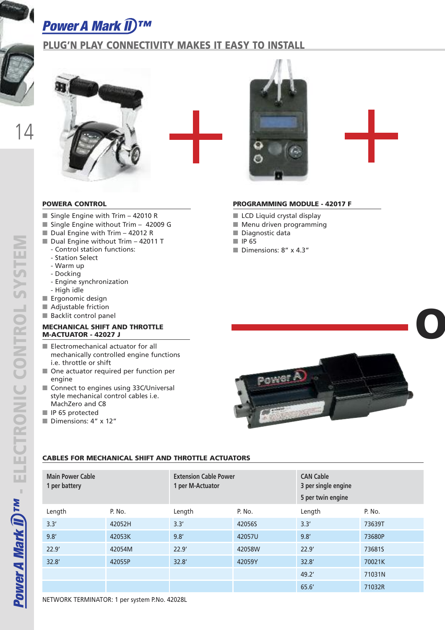### **Power A Mark II)™**

### **PLUG'N PLAY CONNECTIVITY MAKES IT EASY TO INSTALL**





**OR**

### **POWERA CONTROL**

- Single Engine with Trim 42010 R
- Single Engine without Trim 42009 G
- Dual Engine with Trim 42012 R
- Dual Engine without Trim 42011 T
- Control station functions:
- Station Select
- Warm up
- Docking
- Engine synchronization
- High idle
- **■** Ergonomic design
- Adjustable friction
- Backlit control panel

#### **MECHANICAL SHIFT AND THROTTLE M-ACTUATOR - 42027 J**

- Electromechanical actuator for all mechanically controlled engine functions i.e. throttle or shift
- One actuator required per function per engine
- Connect to engines using 33C/Universal style mechanical control cables i.e. MachZero and C8
- **■** IP 65 protected
- **■** Dimensions: 4" x 12"



- LCD Liquid crystal display
- Menu driven programming
- Diagnostic data
- **■** IP 65
- **■** Dimensions: 8" x 4.3"



### **CABLES FOR MECHANICAL SHIFT AND THROTTLE ACTUATORS**

| <b>Main Power Cable</b><br>1 per battery |        | <b>Extension Cable Power</b><br>1 per M-Actuator |        | <b>CAN Cable</b><br>3 per single engine<br>5 per twin engine |        |
|------------------------------------------|--------|--------------------------------------------------|--------|--------------------------------------------------------------|--------|
| Length                                   | P. No. | Length                                           | P. No. | Length                                                       | P. No. |
| 3.3'                                     | 42052H | 3.3'                                             | 42056S | 3.3'                                                         | 73639T |
| 9.8'                                     | 42053K | 9.8'                                             | 42057U | 9.8'                                                         | 73680P |
| 22.9'                                    | 42054M | 22.9'                                            | 42058W | 22.9'                                                        | 73681S |
| 32.8'                                    | 42055P | 32.8'                                            | 42059Y | 32.8'                                                        | 70021K |
|                                          |        |                                                  |        | 49.2'                                                        | 71031N |
|                                          |        |                                                  |        | 65.6'                                                        | 71032R |

NETWORK TERMINATOR: 1 per system P.No. 42028L

14

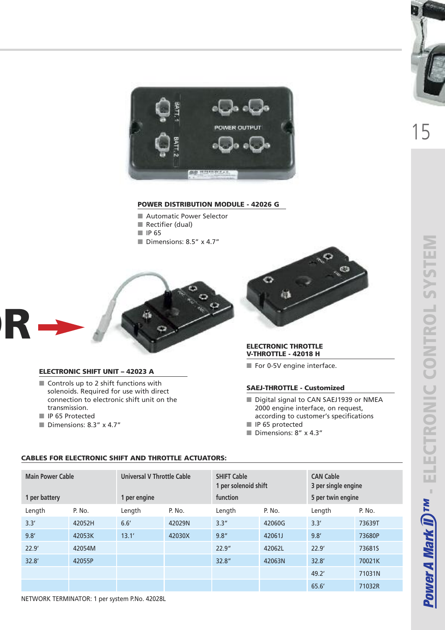

#### **POWER DISTRIBUTION MODULE - 42026 G**

- Automatic Power Selector
- **■** Rectifier (dual)
- **■** IP 65
- Dimensions: 8.5" x 4.7"



### **ELECTRONIC SHIFT UNIT – 42023 A**

- Controls up to 2 shift functions with solenoids. Required for use with direct connection to electronic shift unit on the transmission.
- **■** IP 65 Protected
- Dimensions: 8.3" x 4.7"



#### **ELECTRONIC THROTTLE V-THROTTLE - 42018 H**

■ For 0-5V engine interface.

#### **SAEJ-THROTTLE - Customized**

- Digital signal to CAN SAEJ1939 or NMEA 2000 engine interface, on request, according to customer's specifications
- **■** IP 65 protected
- **■** Dimensions: 8" x 4.3"

| <b>Main Power Cable</b><br>1 per battery |        | Universal V Throttle Cable<br>1 per engine |        | <b>SHIFT Cable</b><br>1 per solenoid shift<br>function |        | <b>CAN Cable</b><br>3 per single engine<br>5 per twin engine |        |
|------------------------------------------|--------|--------------------------------------------|--------|--------------------------------------------------------|--------|--------------------------------------------------------------|--------|
| Length                                   | P. No. | Length                                     | P. No. | Length                                                 | P. No. | Length                                                       | P. No. |
| 3.3'                                     | 42052H | 6.6'                                       | 42029N | 3.3''                                                  | 42060G | 3.3'                                                         | 73639T |
| 9.8'                                     | 42053K | 13.1'                                      | 42030X | 9.8''                                                  | 42061J | 9.8'                                                         | 73680P |
| 22.9'                                    | 42054M |                                            |        | 22.9''                                                 | 42062L | 22.9'                                                        | 73681S |
| 32.8'                                    | 42055P |                                            |        | 32.8''                                                 | 42063N | 32.8'                                                        | 70021K |
|                                          |        |                                            |        |                                                        |        | 49.2'                                                        | 71031N |
|                                          |        |                                            |        |                                                        |        | 65.6                                                         | 71032R |
|                                          |        |                                            |        |                                                        |        |                                                              |        |

#### **CABLES FOR ELECTRONIC SHIFT AND THROTTLE ACTUATORS:**

NETWORK TERMINATOR: 1 per system P.No. 42028L



15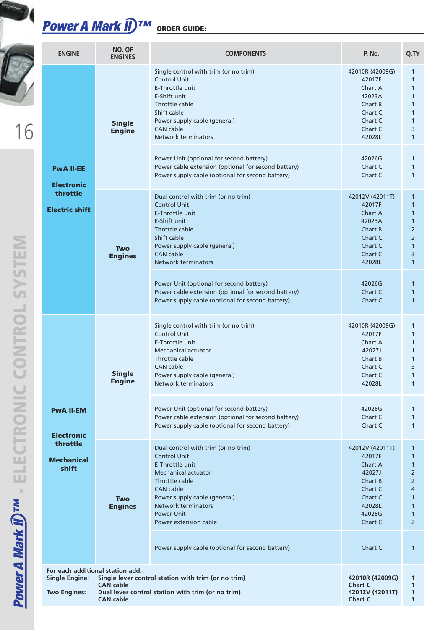## *Power A Mark II ™* **ORDER GUIDE:**

|                                                                                 | <b>ENGINE</b>                                                                    | NO. OF<br><b>ENGINES</b>             | <b>COMPONENTS</b>                                                                                                                                                                                                                                                                                                                                                | P. No.                                                                                                                               | Q.TY                                                                                                                                                                                  |
|---------------------------------------------------------------------------------|----------------------------------------------------------------------------------|--------------------------------------|------------------------------------------------------------------------------------------------------------------------------------------------------------------------------------------------------------------------------------------------------------------------------------------------------------------------------------------------------------------|--------------------------------------------------------------------------------------------------------------------------------------|---------------------------------------------------------------------------------------------------------------------------------------------------------------------------------------|
|                                                                                 |                                                                                  | <b>Single</b><br><b>Engine</b>       | Single control with trim (or no trim)<br><b>Control Unit</b><br>E-Throttle unit<br>E-Shift unit<br>Throttle cable<br>Shift cable<br>Power supply cable (general)<br><b>CAN</b> cable<br>Network terminators                                                                                                                                                      | 42010R (42009G)<br>42017F<br>Chart A<br>42023A<br>Chart B<br>Chart C<br>Chart C<br>Chart C<br>42028L                                 | $\mathbf{1}$<br>$\mathbf{1}$<br>$\mathbf{1}$<br>$\mathbf{1}$<br>$\mathbf{1}$<br>$\mathbf{1}$<br>$\mathbf{1}$<br>3<br>$\mathbf{1}$                                                     |
|                                                                                 | <b>PwA II-EE</b><br><b>Electronic</b><br>throttle<br><b>Electric shift</b>       |                                      | Power Unit (optional for second battery)<br>Power cable extension (optional for second battery)<br>Power supply cable (optional for second battery)                                                                                                                                                                                                              | 42026G<br>Chart C<br>Chart C                                                                                                         | 1<br>$\mathbf{1}$<br>$\mathbf{1}$                                                                                                                                                     |
| SYSTEM<br><b>NTROL</b><br>CTRONIC<br>- 8<br><b>ower A Mark II)<sup>TM</sup></b> |                                                                                  | <b>Two</b><br><b>Engines</b>         | Dual control with trim (or no trim)<br><b>Control Unit</b><br>E-Throttle unit<br>E-Shift unit<br>Throttle cable<br>Shift cable<br>Power supply cable (general)<br><b>CAN</b> cable<br>Network terminators<br>Power Unit (optional for second battery)<br>Power cable extension (optional for second battery)<br>Power supply cable (optional for second battery) | 42012V (42011T)<br>42017F<br>Chart A<br>42023A<br>Chart B<br>Chart C<br>Chart C<br>Chart C<br>42028L<br>42026G<br>Chart C<br>Chart C | $\mathbf{1}$<br>$\mathbf{1}$<br>$\mathbf{1}$<br>$\mathbf{1}$<br>$\overline{2}$<br>$\overline{2}$<br>$\mathbf{1}$<br>3<br>$\mathbf{1}$<br>$\mathbf{1}$<br>$\mathbf{1}$<br>$\mathbf{1}$ |
|                                                                                 | <b>PwA II-EM</b>                                                                 | <b>Single</b><br><b>Engine</b>       | Single control with trim (or no trim)<br><b>Control Unit</b><br>E-Throttle unit<br>Mechanical actuator<br>Throttle cable<br><b>CAN</b> cable<br>Power supply cable (general)<br>Network terminators<br>Power Unit (optional for second battery)<br>Power cable extension (optional for second battery)<br>Power supply cable (optional for second battery)       | 42010R (42009G)<br>42017F<br>Chart A<br>42027J<br>Chart B<br>Chart C<br>Chart C<br>42028L<br>42026G<br>Chart C<br>Chart C            | 1<br>$\mathbf{1}$<br>$\mathbf{1}$<br>$\mathbf{1}$<br>$\mathbf{1}$<br>3<br>1<br>$\mathbf{1}$<br>1<br>$\mathbf{1}$<br>$\mathbf{1}$                                                      |
|                                                                                 | <b>Electronic</b><br>throttle<br><b>Mechanical</b><br>shift                      | <b>Two</b><br><b>Engines</b>         | Dual control with trim (or no trim)<br><b>Control Unit</b><br>E-Throttle unit<br>Mechanical actuator<br>Throttle cable<br><b>CAN</b> cable<br>Power supply cable (general)<br>Network terminators<br><b>Power Unit</b><br>Power extension cable<br>Power supply cable (optional for second battery)                                                              | 42012V (42011T)<br>42017F<br>Chart A<br>42027J<br>Chart B<br>Chart C<br>Chart C<br>42028L<br>42026G<br>Chart C<br>Chart C            | $\mathbf{1}$<br>$\mathbf{1}$<br>$\mathbf{1}$<br>$\overline{2}$<br>$\overline{2}$<br>4<br>$\mathbf{1}$<br>$\mathbf{1}$<br>$\mathbf{1}$<br>$\overline{2}$<br>$\mathbf{1}$               |
|                                                                                 | For each additional station add:<br><b>Single Engine:</b><br><b>Two Engines:</b> | <b>CAN</b> cable<br><b>CAN cable</b> | Single lever control station with trim (or no trim)<br>Dual lever control station with trim (or no trim)                                                                                                                                                                                                                                                         | 42010R (42009G)<br><b>Chart C</b><br>42012V (42011T)<br><b>Chart C</b>                                                               | 1<br>1<br>$\mathbf{1}$<br>1                                                                                                                                                           |

**Contract**